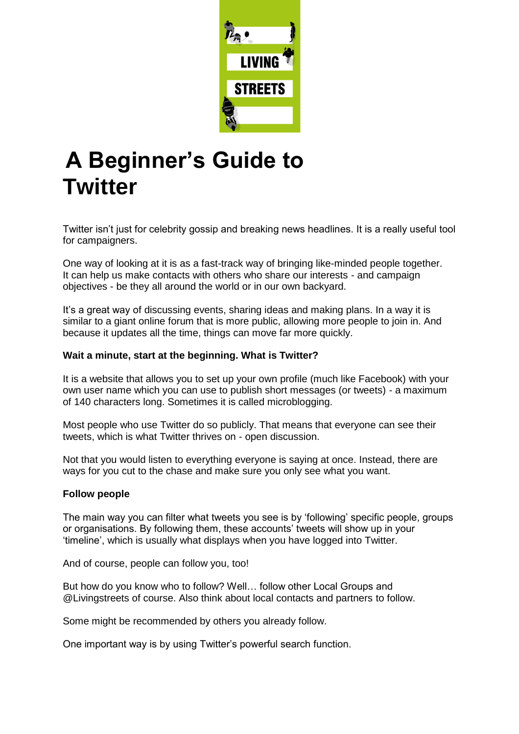

# **A Beginner's Guide to Twitter**

Twitter isn't just for celebrity gossip and breaking news headlines. It is a really useful tool for campaigners.

One way of looking at it is as a fast-track way of bringing like-minded people together. It can help us make contacts with others who share our interests - and campaign objectives - be they all around the world or in our own backyard.

It's a great way of discussing events, sharing ideas and making plans. In a way it is similar to a giant online forum that is more public, allowing more people to join in. And because it updates all the time, things can move far more quickly.

## **Wait a minute, start at the beginning. What is Twitter?**

It is a website that allows you to set up your own profile (much like Facebook) with your own user name which you can use to publish short messages (or tweets) - a maximum of 140 characters long. Sometimes it is called microblogging.

Most people who use Twitter do so publicly. That means that everyone can see their tweets, which is what Twitter thrives on - open discussion.

Not that you would listen to everything everyone is saying at once. Instead, there are ways for you cut to the chase and make sure you only see what you want.

## **Follow people**

The main way you can filter what tweets you see is by 'following' specific people, groups or organisations. By following them, these accounts' tweets will show up in your 'timeline', which is usually what displays when you have logged into Twitter.

And of course, people can follow you, too!

But how do you know who to follow? Well… follow other Local Groups and @Livingstreets of course. Also think about local contacts and partners to follow.

Some might be recommended by others you already follow.

One important way is by using Twitter's powerful search function.